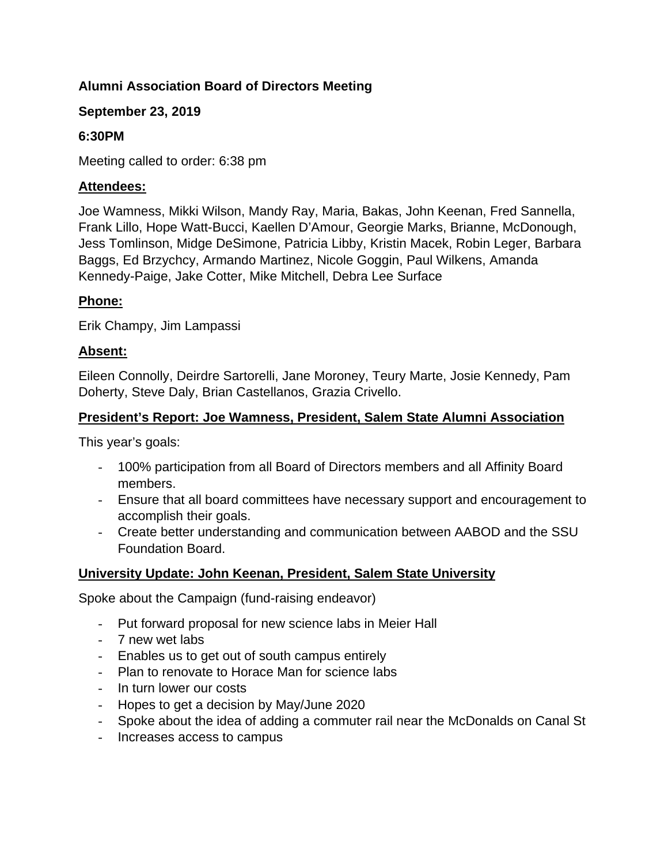# **Alumni Association Board of Directors Meeting**

### **September 23, 2019**

### **6:30PM**

Meeting called to order: 6:38 pm

### **Attendees:**

Joe Wamness, Mikki Wilson, Mandy Ray, Maria, Bakas, John Keenan, Fred Sannella, Frank Lillo, Hope Watt-Bucci, Kaellen D'Amour, Georgie Marks, Brianne, McDonough, Jess Tomlinson, Midge DeSimone, Patricia Libby, Kristin Macek, Robin Leger, Barbara Baggs, Ed Brzychcy, Armando Martinez, Nicole Goggin, Paul Wilkens, Amanda Kennedy-Paige, Jake Cotter, Mike Mitchell, Debra Lee Surface

### **Phone:**

Erik Champy, Jim Lampassi

### **Absent:**

Eileen Connolly, Deirdre Sartorelli, Jane Moroney, Teury Marte, Josie Kennedy, Pam Doherty, Steve Daly, Brian Castellanos, Grazia Crivello.

### **President's Report: Joe Wamness, President, Salem State Alumni Association**

This year's goals:

- 100% participation from all Board of Directors members and all Affinity Board members.
- Ensure that all board committees have necessary support and encouragement to accomplish their goals.
- Create better understanding and communication between AABOD and the SSU Foundation Board.

## **University Update: John Keenan, President, Salem State University**

Spoke about the Campaign (fund-raising endeavor)

- Put forward proposal for new science labs in Meier Hall
- 7 new wet labs
- Enables us to get out of south campus entirely
- Plan to renovate to Horace Man for science labs
- In turn lower our costs
- Hopes to get a decision by May/June 2020
- Spoke about the idea of adding a commuter rail near the McDonalds on Canal St
- Increases access to campus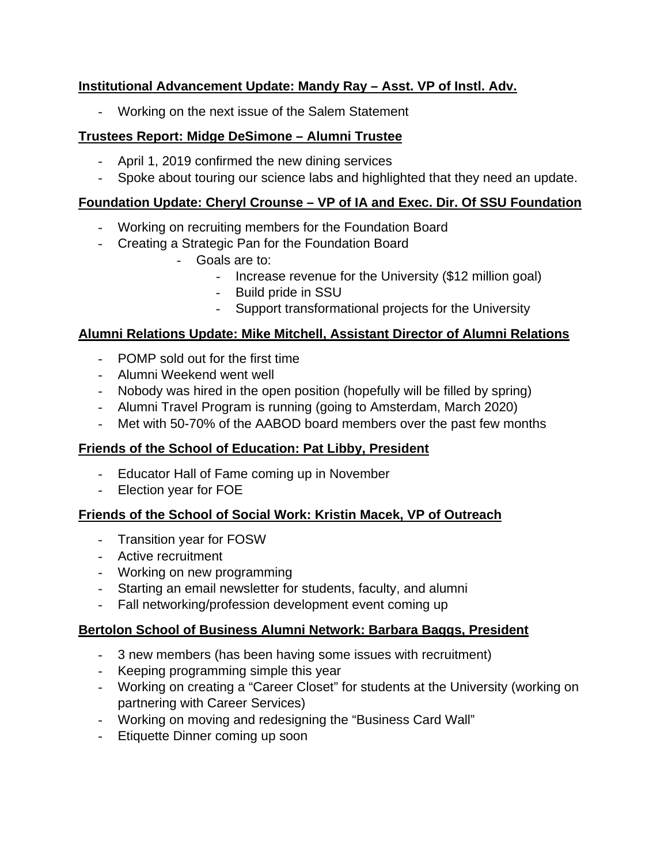# **Institutional Advancement Update: Mandy Ray – Asst. VP of Instl. Adv.**

- Working on the next issue of the Salem Statement

# **Trustees Report: Midge DeSimone – Alumni Trustee**

- April 1, 2019 confirmed the new dining services
- Spoke about touring our science labs and highlighted that they need an update.

### **Foundation Update: Cheryl Crounse – VP of IA and Exec. Dir. Of SSU Foundation**

- Working on recruiting members for the Foundation Board
- Creating a Strategic Pan for the Foundation Board
	- Goals are to:
		- Increase revenue for the University (\$12 million goal)
		- Build pride in SSU
		- Support transformational projects for the University

## **Alumni Relations Update: Mike Mitchell, Assistant Director of Alumni Relations**

- POMP sold out for the first time
- Alumni Weekend went well
- Nobody was hired in the open position (hopefully will be filled by spring)
- Alumni Travel Program is running (going to Amsterdam, March 2020)
- Met with 50-70% of the AABOD board members over the past few months

## **Friends of the School of Education: Pat Libby, President**

- Educator Hall of Fame coming up in November
- Election year for FOE

## **Friends of the School of Social Work: Kristin Macek, VP of Outreach**

- Transition year for FOSW
- Active recruitment
- Working on new programming
- Starting an email newsletter for students, faculty, and alumni
- Fall networking/profession development event coming up

## **Bertolon School of Business Alumni Network: Barbara Baggs, President**

- 3 new members (has been having some issues with recruitment)
- Keeping programming simple this year
- Working on creating a "Career Closet" for students at the University (working on partnering with Career Services)
- Working on moving and redesigning the "Business Card Wall"
- Etiquette Dinner coming up soon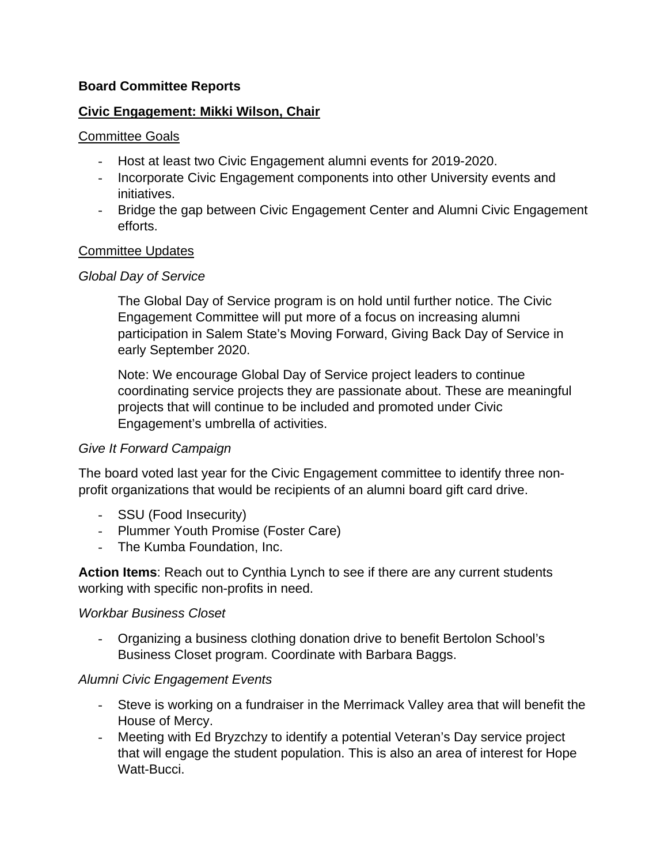#### **Board Committee Reports**

#### **Civic Engagement: Mikki Wilson, Chair**

#### Committee Goals

- Host at least two Civic Engagement alumni events for 2019-2020.
- Incorporate Civic Engagement components into other University events and initiatives.
- Bridge the gap between Civic Engagement Center and Alumni Civic Engagement efforts.

### Committee Updates

### *Global Day of Service*

The Global Day of Service program is on hold until further notice. The Civic Engagement Committee will put more of a focus on increasing alumni participation in Salem State's Moving Forward, Giving Back Day of Service in early September 2020.

Note: We encourage Global Day of Service project leaders to continue coordinating service projects they are passionate about. These are meaningful projects that will continue to be included and promoted under Civic Engagement's umbrella of activities.

## *Give It Forward Campaign*

The board voted last year for the Civic Engagement committee to identify three nonprofit organizations that would be recipients of an alumni board gift card drive.

- SSU (Food Insecurity)
- Plummer Youth Promise (Foster Care)
- The Kumba Foundation, Inc.

**Action Items**: Reach out to Cynthia Lynch to see if there are any current students working with specific non-profits in need.

#### *Workbar Business Closet*

- Organizing a business clothing donation drive to benefit Bertolon School's Business Closet program. Coordinate with Barbara Baggs.

## *Alumni Civic Engagement Events*

- Steve is working on a fundraiser in the Merrimack Valley area that will benefit the House of Mercy.
- Meeting with Ed Bryzchzy to identify a potential Veteran's Day service project that will engage the student population. This is also an area of interest for Hope Watt-Bucci.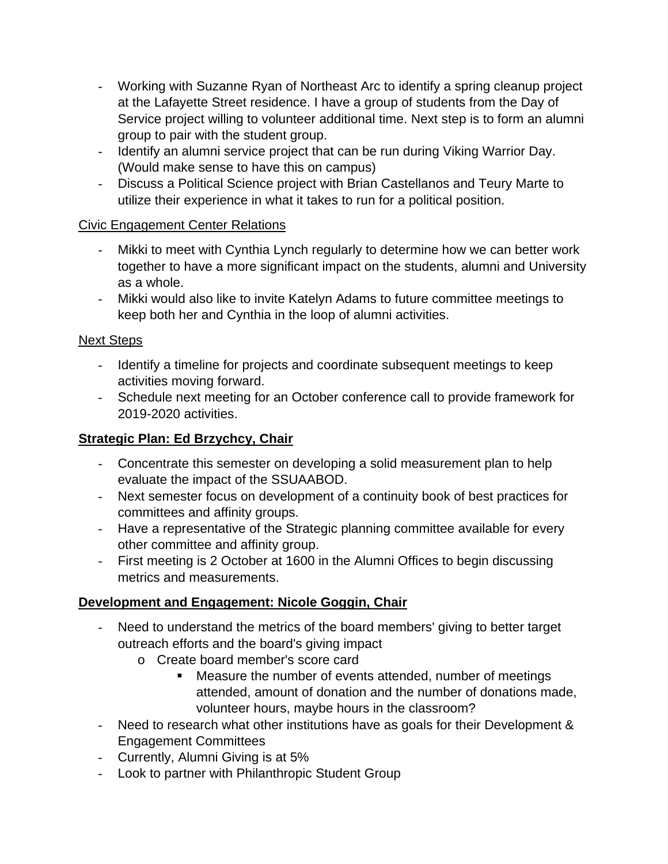- Working with Suzanne Ryan of Northeast Arc to identify a spring cleanup project at the Lafayette Street residence. I have a group of students from the Day of Service project willing to volunteer additional time. Next step is to form an alumni group to pair with the student group.
- Identify an alumni service project that can be run during Viking Warrior Day. (Would make sense to have this on campus)
- Discuss a Political Science project with Brian Castellanos and Teury Marte to utilize their experience in what it takes to run for a political position.

## Civic Engagement Center Relations

- Mikki to meet with Cynthia Lynch regularly to determine how we can better work together to have a more significant impact on the students, alumni and University as a whole.
- Mikki would also like to invite Katelyn Adams to future committee meetings to keep both her and Cynthia in the loop of alumni activities.

## Next Steps

- Identify a timeline for projects and coordinate subsequent meetings to keep activities moving forward.
- Schedule next meeting for an October conference call to provide framework for 2019-2020 activities.

# **Strategic Plan: Ed Brzychcy, Chair**

- Concentrate this semester on developing a solid measurement plan to help evaluate the impact of the SSUAABOD.
- Next semester focus on development of a continuity book of best practices for committees and affinity groups.
- Have a representative of the Strategic planning committee available for every other committee and affinity group.
- First meeting is 2 October at 1600 in the Alumni Offices to begin discussing metrics and measurements.

# **Development and Engagement: Nicole Goggin, Chair**

- Need to understand the metrics of the board members' giving to better target outreach efforts and the board's giving impact
	- o Create board member's score card
		- Measure the number of events attended, number of meetings attended, amount of donation and the number of donations made, volunteer hours, maybe hours in the classroom?
- Need to research what other institutions have as goals for their Development & Engagement Committees
- Currently, Alumni Giving is at 5%
- Look to partner with Philanthropic Student Group